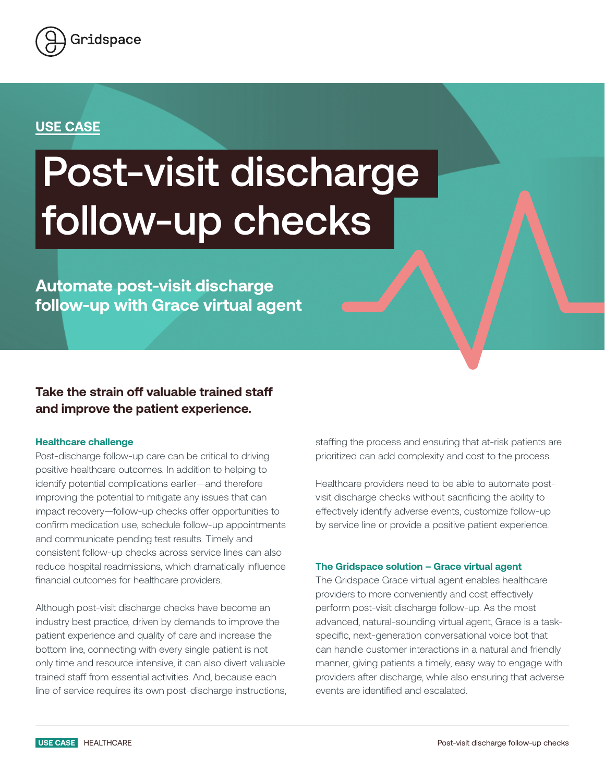

## **USE CASE**

# Post-visit discharge follow-up checks

**Automate post-visit discharge follow-up with Grace virtual agent**

### **Take the strain off valuable trained staff and improve the patient experience.**

#### **Healthcare challenge**

Post-discharge follow-up care can be critical to driving positive healthcare outcomes. In addition to helping to identify potential complications earlier—and therefore improving the potential to mitigate any issues that can impact recovery—follow-up checks offer opportunities to confirm medication use, schedule follow-up appointments and communicate pending test results. Timely and consistent follow-up checks across service lines can also reduce hospital readmissions, which dramatically influence financial outcomes for healthcare providers.

Although post-visit discharge checks have become an industry best practice, driven by demands to improve the patient experience and quality of care and increase the bottom line, connecting with every single patient is not only time and resource intensive, it can also divert valuable trained staff from essential activities. And, because each line of service requires its own post-discharge instructions, staffing the process and ensuring that at-risk patients are prioritized can add complexity and cost to the process.

Healthcare providers need to be able to automate postvisit discharge checks without sacrificing the ability to effectively identify adverse events, customize follow-up by service line or provide a positive patient experience.

#### **The Gridspace solution – Grace virtual agent**

The Gridspace Grace virtual agent enables healthcare providers to more conveniently and cost effectively perform post-visit discharge follow-up. As the most advanced, natural-sounding virtual agent, Grace is a taskspecific, next-generation conversational voice bot that can handle customer interactions in a natural and friendly manner, giving patients a timely, easy way to engage with providers after discharge, while also ensuring that adverse events are identified and escalated.